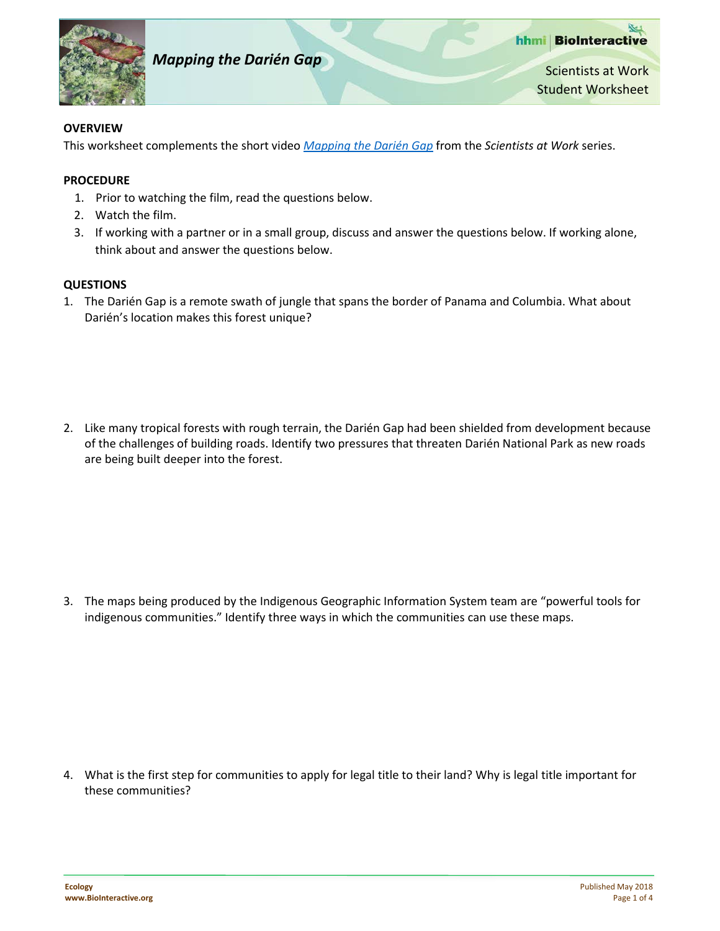

hhmi BioInteractive **Mapping the Darién Gap** Scientists at Work Student Worksheet

## **OVERVIEW**

This worksheet complements the short video *[Mapping the Darién Gap](http://www.hhmi.org/biointeractive/mapping-darien-gap)* from the *Scientists at Work* series.

## **PROCEDURE**

- 1. Prior to watching the film, read the questions below.
- 2. Watch the film.
- 3. If working with a partner or in a small group, discuss and answer the questions below. If working alone, think about and answer the questions below.

## **QUESTIONS**

1. The Darién Gap is a remote swath of jungle that spans the border of Panama and Columbia. What about Darién's location makes this forest unique?

2. Like many tropical forests with rough terrain, the Darién Gap had been shielded from development because of the challenges of building roads. Identify two pressures that threaten Darién National Park as new roads are being built deeper into the forest.

3. The maps being produced by the Indigenous Geographic Information System team are "powerful tools for indigenous communities." Identify three ways in which the communities can use these maps.

4. What is the first step for communities to apply for legal title to their land? Why is legal title important for these communities?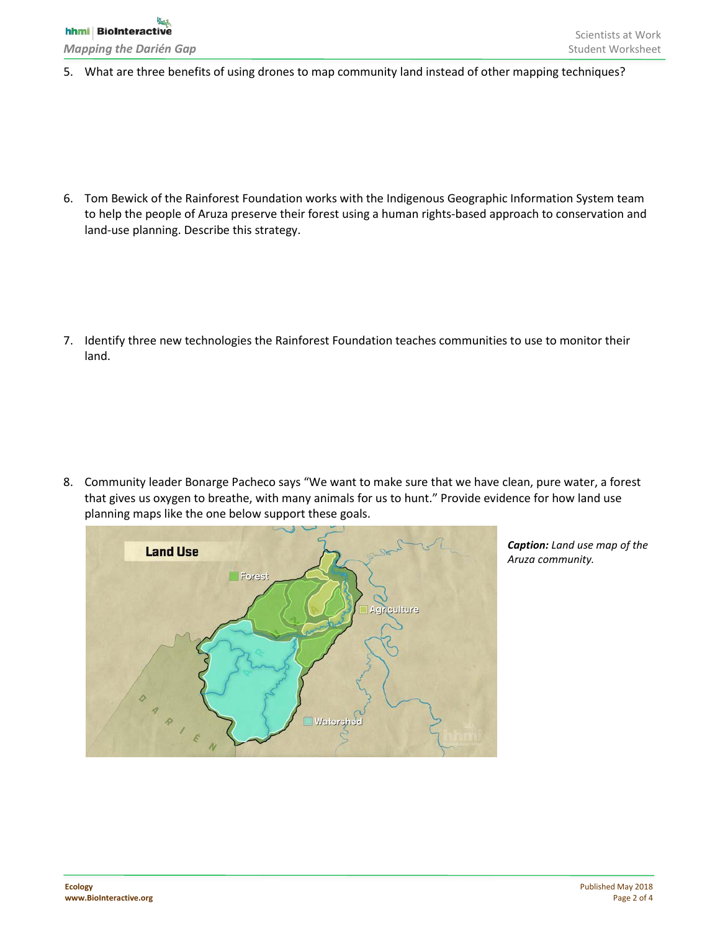5. What are three benefits of using drones to map community land instead of other mapping techniques?

6. Tom Bewick of the Rainforest Foundation works with the Indigenous Geographic Information System team to help the people of Aruza preserve their forest using a human rights-based approach to conservation and land-use planning. Describe this strategy.

7. Identify three new technologies the Rainforest Foundation teaches communities to use to monitor their land.

8. Community leader Bonarge Pacheco says "We want to make sure that we have clean, pure water, a forest that gives us oxygen to breathe, with many animals for us to hunt." Provide evidence for how land use planning maps like the one below support these goals.



*Caption: Land use map of the Aruza community.*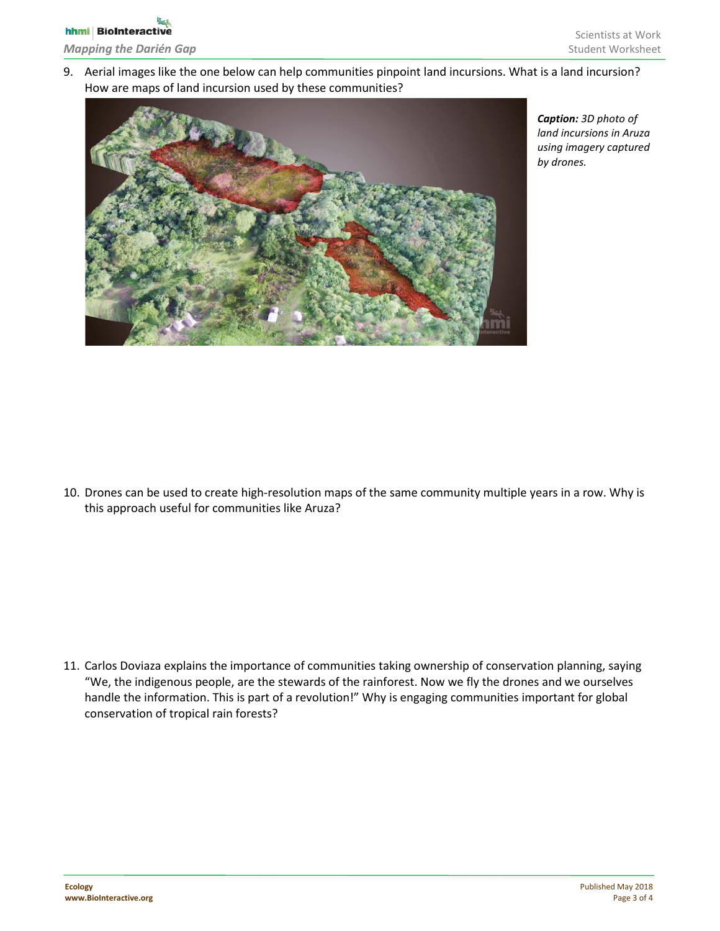9. Aerial images like the one below can help communities pinpoint land incursions. What is a land incursion? How are maps of land incursion used by these communities?



*Caption: 3D photo of land incursions in Aruza using imagery captured by drones.* 

10. Drones can be used to create high-resolution maps of the same community multiple years in a row. Why is this approach useful for communities like Aruza?

11. Carlos Doviaza explains the importance of communities taking ownership of conservation planning, saying "We, the indigenous people, are the stewards of the rainforest. Now we fly the drones and we ourselves handle the information. This is part of a revolution!" Why is engaging communities important for global conservation of tropical rain forests?